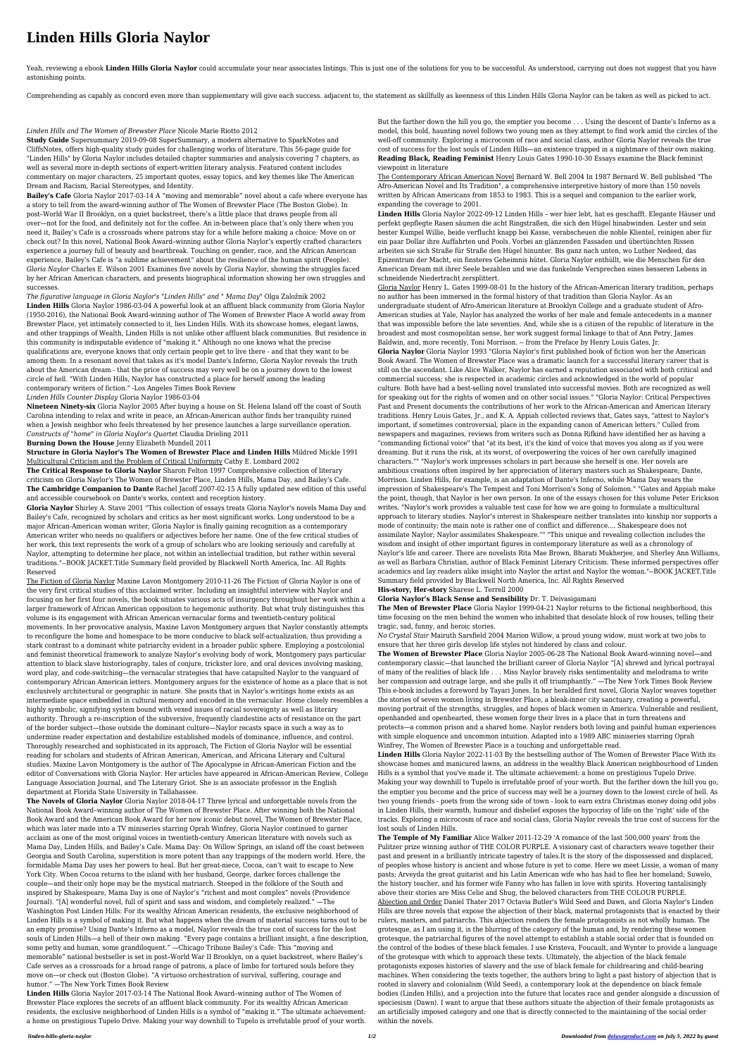## **Linden Hills Gloria Naylor**

Yeah, reviewing a ebook Linden Hills Gloria Naylor could accumulate your near associates listings. This is just one of the solutions for you to be successful. As understood, carrying out does not suggest that you have astonishing points.

Comprehending as capably as concord even more than supplementary will give each success. adjacent to, the statement as skillfully as keenness of this Linden Hills Gloria Naylor can be taken as well as picked to act.

## *Linden Hills and The Women of Brewster Place* Nicole Marie Riotto 2012

**Study Guide** Supersummary 2019-09-08 SuperSummary, a modern alternative to SparkNotes and CliffsNotes, offers high-quality study guides for challenging works of literature. This 56-page guide for "Linden Hills" by Gloria Naylor includes detailed chapter summaries and analysis covering 7 chapters, as well as several more in-depth sections of expert-written literary analysis. Featured content includes commentary on major characters, 25 important quotes, essay topics, and key themes like The American Dream and Racism, Racial Stereotypes, and Identity.

**Bailey's Cafe** Gloria Naylor 2017-03-14 A "moving and memorable" novel about a cafe where everyone has a story to tell from the award-winning author of The Women of Brewster Place (The Boston Globe). In post–World War II Brooklyn, on a quiet backstreet, there's a little place that draws people from all over—not for the food, and definitely not for the coffee. An in-between place that's only there when you need it, Bailey's Cafe is a crossroads where patrons stay for a while before making a choice: Move on or check out? In this novel, National Book Award–winning author Gloria Naylor's expertly crafted characters experience a journey full of beauty and heartbreak. Touching on gender, race, and the African American experience, Bailey's Cafe is "a sublime achievement" about the resilience of the human spirit (People). *Gloria Naylor* Charles E. Wilson 2001 Examines five novels by Gloria Naylor, showing the struggles faced by her African American characters, and presents biographical information showing her own struggles and successes.

*The figurative language in Gloria Naylor's "Linden Hills" and " Mama Day"* Olga Založnik 2002 **Linden Hills** Gloria Naylor 1986-03-04 A powerful look at an affluent black community from Gloria Naylor (1950-2016), the National Book Award-winning author of The Women of Brewster Place A world away from Brewster Place, yet intimately connected to it, lies Linden Hills. With its showcase homes, elegant lawns, and other trappings of Wealth, Linden Hills is not unlike other affluent black communities. But residence in this community is indisputable evidence of "making it." Although no one knows what the precise qualifications are, everyone knows that only certain people get to live there - and that they want to be among them. In a resonant novel that takes as it's model Dante's Inferno, Gloria Naylor reveals the truth about the American dream - that the price of success may very well be on a journey down to the lowest circle of hell. "With Linden Hills, Naylor has constructed a place for herself among the leading contemporary writers of fiction." -Los Angeles Times Book Review *Linden Hills Counter Display* Gloria Naylor 1986-03-04

**Nineteen Ninety-six** Gloria Naylor 2005 After buying a house on St. Helena Island off the coast of South Carolina intending to relax and write in peace, an African-American author finds her tranquility ruined when a Jewish neighbor who feels threatened by her presence launches a large surveillance operation. *Constructs of "home" in Gloria Naylor's Quartet* Claudia Drieling 2011

## **Burning Down the House** Jenny Elizabeth Mundell 2011

## **Structure in Gloria Naylor's The Women of Brewster Place and Linden Hills** Mildred Mickle 1991 Multicultural Criticism and the Problem of Critical Uniformity Cathy E. Lombard 2002

**The Critical Response to Gloria Naylor** Sharon Felton 1997 Comprehensive collection of literary criticism on Gloria Naylor's The Women of Brewster Place, Linden Hills, Mama Day, and Bailey's Cafe. **The Cambridge Companion to Dante** Rachel Jacoff 2007-02-15 A fully updated new edition of this useful and accessible coursebook on Dante's works, context and reception history.

**Gloria Naylor** Shirley A. Stave 2001 "This collection of essays treats Gloria Naylor's novels Mama Day and Bailey's Cafe, recognized by scholars and critics as her most significant works. Long understood to be a major African-American woman writer, Gloria Naylor is finally gaining recognition as a contemporary American writer who needs no qualifiers or adjectives before her name. One of the few critical studies of her work, this text represents the work of a group of scholars who are looking seriously and carefully at Naylor, attempting to determine her place, not within an intellectual tradition, but rather within several traditions."--BOOK JACKET.Title Summary field provided by Blackwell North America, Inc. All Rights

Reserved

The Fiction of Gloria Naylor Maxine Lavon Montgomery 2010-11-26 The Fiction of Gloria Naylor is one of the very first critical studies of this acclaimed writer. Including an insightful interview with Naylor and focusing on her first four novels, the book situates various acts of insurgency throughout her work within a larger framework of African American opposition to hegemonic authority. But what truly distinguishes this volume is its engagement with African American vernacular forms and twentieth-century political movements. In her provocative analysis, Maxine Lavon Montgomery argues that Naylor constantly attempts to reconfigure the home and homespace to be more conducive to black self-actualization, thus providing a stark contrast to a dominant white patriarchy evident in a broader public sphere. Employing a postcolonial and feminist theoretical framework to analyze Naylor's evolving body of work, Montgomery pays particular attention to black slave historiography, tales of conjure, trickster lore, and oral devices involving masking, word play, and code-switching—the vernacular strategies that have catapulted Naylor to the vanguard of contemporary African American letters. Montgomery argues for the existence of home as a place that is not exclusively architectural or geographic in nature. She posits that in Naylor's writings home exists as an intermediate space embedded in cultural memory and encoded in the vernacular. Home closely resembles a highly symbolic, signifying system bound with vexed issues of racial sovereignty as well as literary authority. Through a re-inscription of the subversive, frequently clandestine acts of resistance on the part of the border subject—those outside the dominant culture—Naylor recasts space in such a way as to undermine reader expectation and destabilize established models of dominance, influence, and control. Thoroughly researched and sophisticated in its approach, The Fiction of Gloria Naylor will be essential reading for scholars and students of African American, American, and Africana Literary and Cultural studies. Maxine Lavon Montgomery is the author of The Apocalypse in African-American Fiction and the editor of Conversations with Gloria Naylor. Her articles have appeared in African-American Review, College Language Association Journal, and The Literary Griot. She is an associate professor in the English department at Florida State University in Tallahassee.

**The Novels of Gloria Naylor** Gloria Naylor 2018-04-17 Three lyrical and unforgettable novels from the National Book Award–winning author of The Women of Brewster Place. After winning both the National Book Award and the American Book Award for her now iconic debut novel, The Women of Brewster Place, which was later made into a TV miniseries starring Oprah Winfrey, Gloria Naylor continued to garner acclaim as one of the most original voices in twentieth-century American literature with novels such as Mama Day, Linden Hills, and Bailey's Cafe. Mama Day: On Willow Springs, an island off the coast between Georgia and South Carolina, superstition is more potent than any trappings of the modern world. Here, the formidable Mama Day uses her powers to heal. But her great-niece, Cocoa, can't wait to escape to New York City. When Cocoa returns to the island with her husband, George, darker forces challenge the couple—and their only hope may be the mystical matriarch. Steeped in the folklore of the South and inspired by Shakespeare, Mama Day is one of Naylor's "richest and most complex" novels (Providence Journal). "[A] wonderful novel, full of spirit and sass and wisdom, and completely realized." —The Washington Post Linden Hills: For its wealthy African American residents, the exclusive neighborhood of Linden Hills is a symbol of making it. But what happens when the dream of material success turns out to be an empty promise? Using Dante's Inferno as a model, Naylor reveals the true cost of success for the lost souls of Linden Hills—a hell of their own making. "Every page contains a brilliant insight, a fine description, some petty and human, some grandiloquent." —Chicago Tribune Bailey's Cafe: This "moving and memorable" national bestseller is set in post–World War II Brooklyn, on a quiet backstreet, where Bailey's Cafe serves as a crossroads for a broad range of patrons, a place of limbo for tortured souls before they move on—or check out (Boston Globe). "A virtuoso orchestration of survival, suffering, courage and humor." —The New York Times Book Review

**Linden Hills** Gloria Naylor 2017-03-14 The National Book Award–winning author of The Women of Brewster Place explores the secrets of an affluent black community. For its wealthy African American residents, the exclusive neighborhood of Linden Hills is a symbol of "making it." The ultimate achievement: a home on prestigious Tupelo Drive. Making your way downhill to Tupelo is irrefutable proof of your worth.

But the farther down the hill you go, the emptier you become . . . Using the descent of Dante's Inferno as a model, this bold, haunting novel follows two young men as they attempt to find work amid the circles of the well-off community. Exploring a microcosm of race and social class, author Gloria Naylor reveals the true cost of success for the lost souls of Linden Hills—an existence trapped in a nightmare of their own making. **Reading Black, Reading Feminist** Henry Louis Gates 1990-10-30 Essays examine the Black feminist viewpoint in literature

The Contemporary African American Novel Bernard W. Bell 2004 In 1987 Bernard W. Bell published "The Afro-American Novel and Its Tradition", a comprehensive interpretive history of more than 150 novels written by African Americans from 1853 to 1983. This is a sequel and companion to the earlier work, expanding the coverage to 2001.

**Linden Hills** Gloria Naylor 2022-09-12 Linden Hills – wer hier lebt, hat es geschafft. Elegante Häuser und perfekt gepflegte Rasen säumen die acht Ringstraßen, die sich den Hügel hinabwinden. Lester und sein bester Kumpel Willie, beide verflucht knapp bei Kasse, verabscheuen die noble Klientel, reinigen aber für ein paar Dollar ihre Auffahrten und Pools. Vorbei an glänzenden Fassaden und übertünchten Rissen arbeiten sie sich Straße für Straße den Hügel hinunter. Bis ganz nach unten, wo Luther Nedeed, das Epizentrum der Macht, ein finsteres Geheimnis hütet. Gloria Naylor enthüllt, wie die Menschen für den American Dream mit ihrer Seele bezahlen und wie das funkelnde Versprechen eines besseren Lebens in schneidende Niedertracht zersplittert.

Gloria Naylor Henry L. Gates 1999-08-01 In the history of the African-American literary tradition, perhaps no author has been immersed in the formal history of that tradition than Gloria Naylor. As an undergraduate student of Afro-American literature at Brooklyn College and a graduate student of Afro-American studies at Yale, Naylor has analyzed the works of her male and female antecedents in a manner that was impossible before the late seventies. And, while she is a citizen of the republic of literature in the broadest and most cosmopolitan sense, her work suggest formal linkage to that of Ann Petry, James Baldwin, and, more recently, Toni Morrison. -- from the Preface by Henry Louis Gates, Jr.

**Gloria Naylor** Gloria Naylor 1993 "Gloria Naylor's first published book of fiction won her the American Book Award. The Women of Brewster Place was a dramatic launch for a successful literary career that is still on the ascendant. Like Alice Walker, Naylor has earned a reputation associated with both critical and commercial success; she is respected in academic circles and acknowledged in the world of popular culture. Both have had a best-selling novel translated into successful movies. Both are recognized as well for speaking out for the rights of women and on other social issues." "Gloria Naylor: Critical Perspectives Past and Present documents the contributions of her work to the African-American and American literary traditions. Henry Louis Gates, Jr., and K. A. Appiah collected reviews that, Gates says, "attest to Naylor's important, if sometimes controversial, place in the expanding canon of American letters." Culled from newspapers and magazines, reviews from writers such as Donna Rifkind have identified her as having a "commanding fictional voice" that "at its best, it's the kind of voice that moves you along as if you were dreaming. But it runs the risk, at its worst, of overpowering the voices of her own carefully imagined characters."" "Naylor's work impresses scholars in part because she herself is one. Her novels are ambitious creations often inspired by her appreciation of literary masters such as Shakespeare, Dante, Morrison. Linden Hills, for example, is an adaptation of Dante's Inferno, while Mama Day wears the impression of Shakespeare's The Tempest and Toni Morrison's Song of Solomon." "Gates and Appiah make the point, though, that Naylor is her own person. In one of the essays chosen for this volume Peter Erickson writes, "Naylor's work provides a valuable test case for how we are going to formulate a multicultural approach to literary studies. Naylor's interest in Shakespeare neither translates into kinship nor supports a mode of continuity; the main note is rather one of conflict and difference.... Shakespeare does not assimilate Naylor; Naylor assimilates Shakespeare."" "This unique and revealing collection includes the wisdom and insight of other important figures in contemporary literature as well as a chronology of Naylor's life and career. There are novelists Rita Mae Brown, Bharati Mukherjee, and Sherley Ann Williams, as well as Barbara Christian, author of Black Feminist Literary Criticism. These informed perspectives offer

academics and lay readers alike insight into Naylor the artist and Naylor the woman."--BOOK JACKET.Title Summary field provided by Blackwell North America, Inc. All Rights Reserved

**His-story, Her-story** Sharese L. Terrell 2000

**Gloria Naylor's Black Sense and Sensibility** Dr. T. Deivasigamani

**The Men of Brewster Place** Gloria Naylor 1999-04-21 Naylor returns to the fictional neighborhood, this time focusing on the men behind the women who inhabited that desolate block of row houses, telling their tragic, sad, funny, and heroic stories.

*No Crystal Stair* Mairuth Sarsfield 2004 Marion Willow, a proud young widow, must work at two jobs to ensure that her three girls develop life styles not hindered by class and colour.

**The Women of Brewster Place** Gloria Naylor 2005-06-28 The National Book Award-winning novel—and contemporary classic—that launched the brilliant career of Gloria Naylor "[A] shrewd and lyrical portrayal of many of the realities of black life . . . Miss Naylor bravely risks sentimentality and melodrama to write her compassion and outrage large, and she pulls it off triumphantly." —The New York Times Book Review This e-book includes a foreword by Tayari Jones. In her heralded first novel, Gloria Naylor weaves together the stories of seven women living in Brewster Place, a bleak-inner city sanctuary, creating a powerful, moving portrait of the strengths, struggles, and hopes of black women in America. Vulnerable and resilient, openhanded and openhearted, these women forge their lives in a place that in turn threatens and protects—a common prison and a shared home. Naylor renders both loving and painful human experiences with simple eloquence and uncommon intuition. Adapted into a 1989 ABC miniseries starring Oprah Winfrey, The Women of Brewster Place is a touching and unforgettable read.

**Linden Hills** Gloria Naylor 2022-11-03 By the bestselling author of The Women of Brewster Place With its showcase homes and manicured lawns, an address in the wealthy Black American neighbourhood of Linden Hills is a symbol that you've made it. The ultimate achievement: a home on prestigious Tupelo Drive. Making your way downhill to Tupelo is irrefutable proof of your worth. But the farther down the hill you go, the emptier you become and the price of success may well be a journey down to the lowest circle of hell. As two young friends - poets from the wrong side of town - look to earn extra Christmas money doing odd jobs in Linden Hills, their warmth, humour and disbelief exposes the hypocrisy of life on the 'right' side of the tracks. Exploring a microcosm of race and social class, Gloria Naylor reveals the true cost of success for the lost souls of Linden Hills.

**The Temple of My Familiar** Alice Walker 2011-12-29 'A romance of the last 500,000 years' from the Pulitzer prize winning author of THE COLOR PURPLE. A visionary cast of characters weave together their past and present in a brilliantly intricate tapestry of tales.It is the story of the dispossessed and displaced, of peoples whose history is ancient and whose future is yet to come. Here we meet Lissie, a woman of many pasts; Arveyda the great guitarist and his Latin American wife who has had to flee her homeland; Suwelo, the history teacher, and his former wife Fanny who has fallen in love with spirits. Hovering tantalisingly above their stories are Miss Celie and Shug, the beloved characters from THE COLOUR PURPLE. Abjection and Order Daniel Thater 2017 Octavia Butler's Wild Seed and Dawn, and Gloria Naylor's Linden Hills are three novels that expose the abjection of their black, maternal protagonists that is enacted by their rulers, masters, and patriarchs. This abjection renders the female protagonists as not wholly human. The grotesque, as I am using it, is the blurring of the category of the human and, by rendering these women grotesque, the patriarchal figures of the novel attempt to establish a stable social order that is founded on the control of the bodies of these black females. I use Kristeva, Foucault, and Wynter to provide a language of the grotesque with which to approach these texts. Ultimately, the abjection of the black female protagonists exposes histories of slavery and the use of black female for childrearing and child-bearing machines. When considering the texts together, the authors bring to light a past history of abjection that is rooted in slavery and colonialism (Wild Seed), a contemporary look at the dependence on black female bodies (Linden Hills), and a projection into the future that locates race and gender alongside a discussion of speciesism (Dawn). I want to argue that these authors situate the abjection of their female protagonists as an artificially imposed category and one that is directly connected to the maintaining of the social order within the novels.